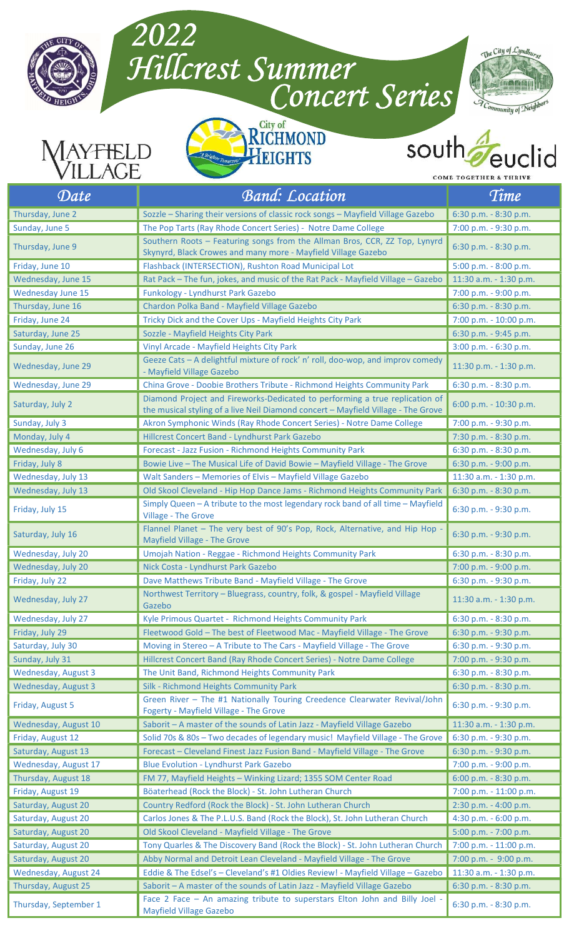

## Hillcrest Summer



2022





## south id

**COME TOGETHER & THRIVE** 

| Date                       | <b>Band: Location</b>                                                                                                                                            | Time                     |
|----------------------------|------------------------------------------------------------------------------------------------------------------------------------------------------------------|--------------------------|
| Thursday, June 2           | Sozzle - Sharing their versions of classic rock songs - Mayfield Village Gazebo                                                                                  | 6:30 p.m. - 8:30 p.m.    |
| Sunday, June 5             | The Pop Tarts (Ray Rhode Concert Series) - Notre Dame College                                                                                                    | 7:00 p.m. - 9:30 p.m.    |
| Thursday, June 9           | Southern Roots - Featuring songs from the Allman Bros, CCR, ZZ Top, Lynyrd<br>Skynyrd, Black Crowes and many more - Mayfield Village Gazebo                      | 6:30 p.m. - 8:30 p.m.    |
| Friday, June 10            | Flashback (INTERSECTION), Rushton Road Municipal Lot                                                                                                             | 5:00 p.m. - 8:00 p.m.    |
| Wednesday, June 15         | Rat Pack - The fun, jokes, and music of the Rat Pack - Mayfield Village - Gazebo                                                                                 | 11:30 a.m. - 1:30 p.m.   |
| Wednesday June 15          | Funkology - Lyndhurst Park Gazebo                                                                                                                                | 7:00 p.m. - 9:00 p.m.    |
| Thursday, June 16          | Chardon Polka Band - Mayfield Village Gazebo                                                                                                                     | 6:30 p.m. - 8:30 p.m.    |
| Friday, June 24            | Tricky Dick and the Cover Ups - Mayfield Heights City Park                                                                                                       | 7:00 p.m. - 10:00 p.m.   |
| Saturday, June 25          | Sozzle - Mayfield Heights City Park                                                                                                                              | 6:30 p.m. - 9:45 p.m.    |
| Sunday, June 26            | Vinyl Arcade - Mayfield Heights City Park                                                                                                                        | 3:00 p.m. - 6:30 p.m.    |
| Wednesday, June 29         | Geeze Cats - A delightful mixture of rock' n' roll, doo-wop, and improv comedy<br>- Mayfield Village Gazebo                                                      | 11:30 p.m. - 1:30 p.m.   |
| Wednesday, June 29         | China Grove - Doobie Brothers Tribute - Richmond Heights Community Park                                                                                          | 6:30 p.m. - 8:30 p.m.    |
| Saturday, July 2           | Diamond Project and Fireworks-Dedicated to performing a true replication of<br>the musical styling of a live Neil Diamond concert - Mayfield Village - The Grove | 6:00 p.m. - 10:30 p.m.   |
| Sunday, July 3             | Akron Symphonic Winds (Ray Rhode Concert Series) - Notre Dame College                                                                                            | 7:00 p.m. - 9:30 p.m.    |
| Monday, July 4             | Hillcrest Concert Band - Lyndhurst Park Gazebo                                                                                                                   | 7:30 p.m. - 8:30 p.m.    |
| Wednesday, July 6          | Forecast - Jazz Fusion - Richmond Heights Community Park                                                                                                         | 6:30 p.m. - 8:30 p.m.    |
| Friday, July 8             | Bowie Live - The Musical Life of David Bowie - Mayfield Village - The Grove                                                                                      | 6:30 p.m. - 9:00 p.m.    |
| Wednesday, July 13         | Walt Sanders - Memories of Elvis - Mayfield Village Gazebo                                                                                                       | 11:30 a.m. - 1:30 p.m.   |
| Wednesday, July 13         | Old Skool Cleveland - Hip Hop Dance Jams - Richmond Heights Community Park                                                                                       | 6:30 p.m. - 8:30 p.m.    |
| Friday, July 15            | Simply Queen - A tribute to the most legendary rock band of all time - Mayfield<br><b>Village - The Grove</b>                                                    | 6:30 p.m. - 9:30 p.m.    |
| Saturday, July 16          | Flannel Planet - The very best of 90's Pop, Rock, Alternative, and Hip Hop -<br><b>Mayfield Village - The Grove</b>                                              | 6:30 p.m. - 9:30 p.m.    |
| Wednesday, July 20         | Umojah Nation - Reggae - Richmond Heights Community Park                                                                                                         | 6:30 p.m. - 8:30 p.m.    |
| Wednesday, July 20         | Nick Costa - Lyndhurst Park Gazebo                                                                                                                               | 7:00 p.m. - 9:00 p.m.    |
| Friday, July 22            | Dave Matthews Tribute Band - Mayfield Village - The Grove                                                                                                        | 6:30 p.m. - 9:30 p.m.    |
| Wednesday, July 27         | Northwest Territory - Bluegrass, country, folk, & gospel - Mayfield Village<br>Gazebo                                                                            | 11:30 a.m. - 1:30 p.m.   |
| Wednesday, July 27         | Kyle Primous Quartet - Richmond Heights Community Park                                                                                                           | 6:30 p.m. - 8:30 p.m.    |
| Friday, July 29            | Fleetwood Gold - The best of Fleetwood Mac - Mayfield Village - The Grove                                                                                        | 6:30 p.m. - 9:30 p.m.    |
| Saturday, July 30          | Moving in Stereo - A Tribute to The Cars - Mayfield Village - The Grove                                                                                          | 6:30 p.m. - 9:30 p.m.    |
| Sunday, July 31            | Hillcrest Concert Band (Ray Rhode Concert Series) - Notre Dame College                                                                                           | 7:00 p.m. - 9:30 p.m.    |
| Wednesday, August 3        | The Unit Band, Richmond Heights Community Park                                                                                                                   | 6:30 p.m. - 8:30 p.m.    |
| <b>Wednesday, August 3</b> | Silk - Richmond Heights Community Park                                                                                                                           | 6:30 p.m. - 8:30 p.m.    |
| Friday, August 5           | Green River - The #1 Nationally Touring Creedence Clearwater Revival/John<br>Fogerty - Mayfield Village - The Grove                                              | 6:30 p.m. - 9:30 p.m.    |
| Wednesday, August 10       | Saborit - A master of the sounds of Latin Jazz - Mayfield Village Gazebo                                                                                         | 11:30 a.m. - 1:30 p.m.   |
| Friday, August 12          | Solid 70s & 80s - Two decades of legendary music! Mayfield Village - The Grove                                                                                   | 6:30 p.m. - 9:30 p.m.    |
| Saturday, August 13        | Forecast - Cleveland Finest Jazz Fusion Band - Mayfield Village - The Grove                                                                                      | 6:30 p.m. - 9:30 p.m.    |
| Wednesday, August 17       | <b>Blue Evolution - Lyndhurst Park Gazebo</b>                                                                                                                    | 7:00 p.m. - 9:00 p.m.    |
| Thursday, August 18        | FM 77, Mayfield Heights - Winking Lizard; 1355 SOM Center Road                                                                                                   | $6:00$ p.m. $-8:30$ p.m. |
| Friday, August 19          | Böaterhead (Rock the Block) - St. John Lutheran Church                                                                                                           | 7:00 p.m. - 11:00 p.m.   |
| Saturday, August 20        | Country Redford (Rock the Block) - St. John Lutheran Church                                                                                                      | 2:30 p.m. - 4:00 p.m.    |
| Saturday, August 20        | Carlos Jones & The P.L.U.S. Band (Rock the Block), St. John Lutheran Church                                                                                      | 4:30 p.m. - 6:00 p.m.    |
| Saturday, August 20        | Old Skool Cleveland - Mayfield Village - The Grove                                                                                                               | 5:00 p.m. - 7:00 p.m.    |
| Saturday, August 20        | Tony Quarles & The Discovery Band (Rock the Block) - St. John Lutheran Church                                                                                    | 7:00 p.m. - 11:00 p.m.   |
| Saturday, August 20        | Abby Normal and Detroit Lean Cleveland - Mayfield Village - The Grove                                                                                            | 7:00 p.m. - 9:00 p.m.    |
| Wednesday, August 24       | Eddie & The Edsel's - Cleveland's #1 Oldies Review! - Mayfield Village - Gazebo                                                                                  | 11:30 a.m. - 1:30 p.m.   |
| Thursday, August 25        | Saborit - A master of the sounds of Latin Jazz - Mayfield Village Gazebo                                                                                         | 6:30 p.m. - 8:30 p.m.    |
| Thursday, September 1      | Face 2 Face - An amazing tribute to superstars Elton John and Billy Joel -<br><b>Mayfield Village Gazebo</b>                                                     | 6:30 p.m. - 8:30 p.m.    |